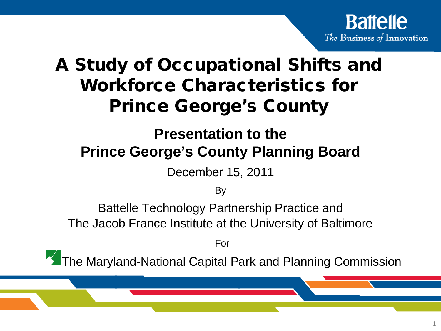

 $\mathbf{B}$ 

### A Study of Occupational Shifts and Workforce Characteristics for Prince George's County

#### **Presentation to the Prince George's County Planning Board**

December 15, 2011

**By** 

Battelle Technology Partnership Practice and The Jacob France Institute at the University of Baltimore

For

The Maryland-National Capital Park and Planning Commission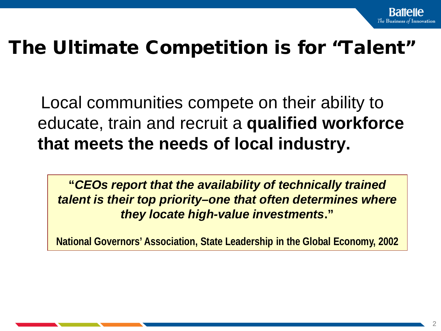# The Ultimate Competition is for "Talent"

Local communities compete on their ability to educate, train and recruit a **qualified workforce that meets the needs of local industry.**

**"***CEOs report that the availability of technically trained talent is their top priority–one that often determines where they locate high-value investments***."**

**National Governors' Association, State Leadership in the Global Economy, 2002**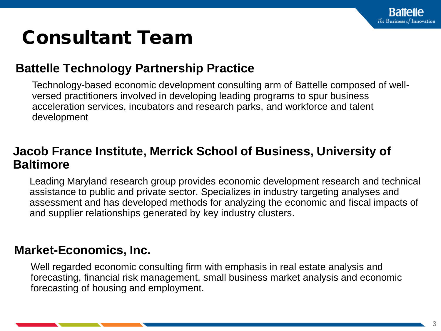# Consultant Team

#### **Battelle Technology Partnership Practice**

Technology-based economic development consulting arm of Battelle composed of wellversed practitioners involved in developing leading programs to spur business acceleration services, incubators and research parks, and workforce and talent development

#### **Jacob France Institute, Merrick School of Business, University of Baltimore**

Leading Maryland research group provides economic development research and technical assistance to public and private sector. Specializes in industry targeting analyses and assessment and has developed methods for analyzing the economic and fiscal impacts of and supplier relationships generated by key industry clusters.

#### **Market-Economics, Inc.**

Well regarded economic consulting firm with emphasis in real estate analysis and forecasting, financial risk management, small business market analysis and economic forecasting of housing and employment.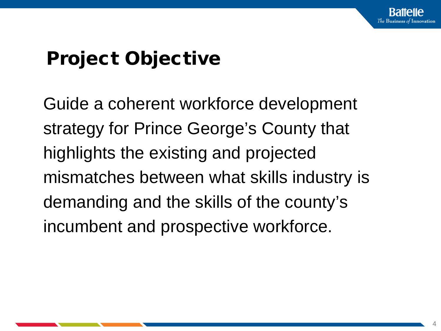# Project Objective

Guide a coherent workforce development strategy for Prince George's County that highlights the existing and projected mismatches between what skills industry is demanding and the skills of the county's incumbent and prospective workforce.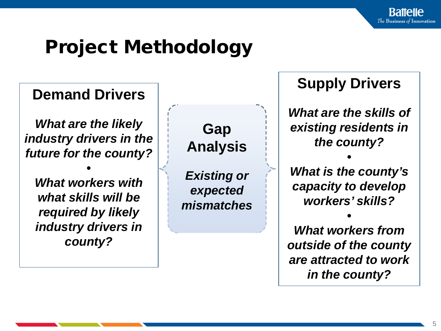# Project Methodology

#### **Demand Drivers**

*What are the likely industry drivers in the future for the county?* 

*• What workers with what skills will be required by likely industry drivers in county?*

**Gap Analysis**

*Existing or expected mismatches* **Supply Drivers**

*What are the skills of existing residents in the county?*

*• What is the county's capacity to develop workers' skills?*

*• What workers from outside of the county are attracted to work in the county?*

BUSINESS SENSITIVE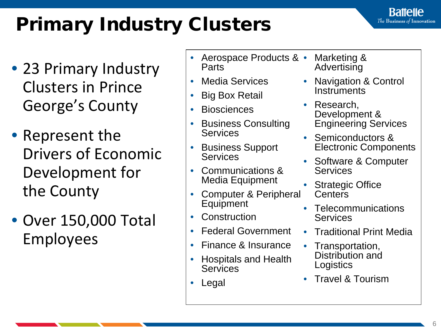# Primary Industry Clusters

- 23 Primary Industry Clusters in Prince George's County
- Represent the Drivers of Economic Development for the County
- Over 150,000 Total Employees
- Aerospace Products & Parts
- Media Services
- Big Box Retail
- Biosciences
- Business Consulting **Services**
- Business Support **Services**
- Communications & Media Equipment
- Computer & Peripheral **Equipment**
- **Construction**
- Federal Government
- Finance & Insurance
- Hospitals and Health **Services**
- **Legal**
- Marketing & **Advertising**
- Navigation & Control **Instruments**

**Battelle** The Business of Innovation

- Research. Development & Engineering Services
- Semiconductors & Electronic Components
- Software & Computer **Services**
- **Strategic Office Centers**
- **Telecommunications** Services
- Traditional Print Media
- Transportation, Distribution and **Logistics**
- Travel & Tourism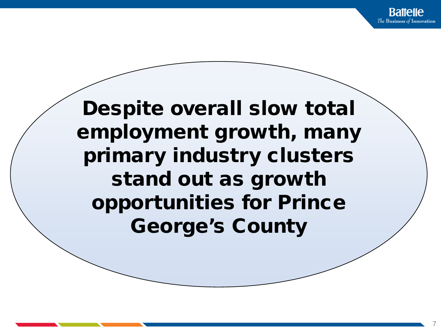Despite overall slow total employment growth, many primary industry clusters stand out as growth opportunities for Prince George's County

BUSINESS SENSITIVE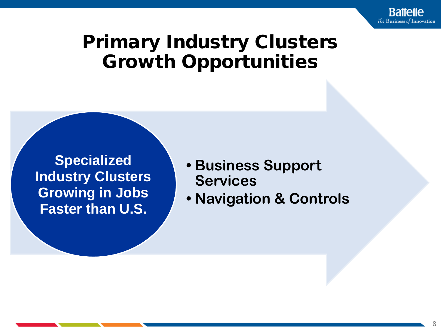

### Primary Industry Clusters Growth Opportunities

**Specialized Industry Clusters Growing in Jobs Faster than U.S.**

- **• Business Support Services**
- **• Navigation & Controls**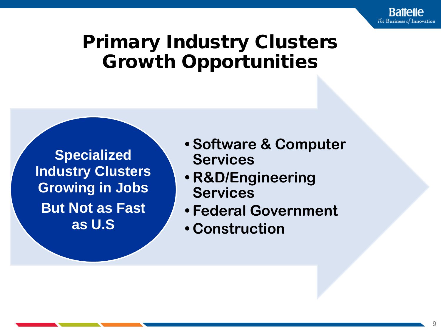## Primary Industry Clusters Growth Opportunities

**Specialized Industry Clusters Growing in Jobs But Not as Fast as U.S** 

- **• Software & Computer Services**
- **• R&D/Engineering Services**
- **• Federal Government**
- **• Construction**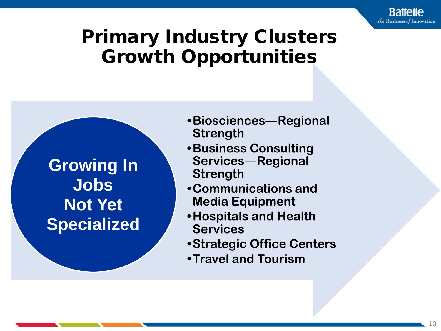## Primary Industry Clusters Growth Opportunities

**Growing In Jobs Not Yet Specialized**

- **•Biosciences**―**Regional Strength**
- **•Business Consulting Services**―**Regional Strength**
- **•Communications and Media Equipment**
- **•Hospitals and Health Services**
- **•Strategic Office Centers**
- **•Travel and Tourism**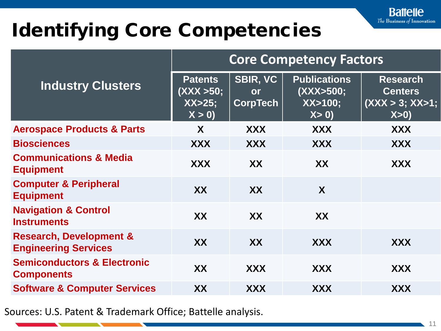# Identifying Core Competencies

| <b>Industry Clusters</b>                                          | <b>Core Competency Factors</b>                    |                                          |                                                       |                                                               |
|-------------------------------------------------------------------|---------------------------------------------------|------------------------------------------|-------------------------------------------------------|---------------------------------------------------------------|
|                                                                   | <b>Patents</b><br>(XXX >50;<br>$XX>25$ ;<br>X > 0 | <b>SBIR, VC</b><br>or<br><b>CorpTech</b> | <b>Publications</b><br>(XXX>500;<br>$XX>100$ ;<br>X>0 | <b>Research</b><br><b>Centers</b><br>(XXX > 3; XX > 1;<br>X>0 |
| <b>Aerospace Products &amp; Parts</b>                             | X                                                 | <b>XXX</b>                               | <b>XXX</b>                                            | <b>XXX</b>                                                    |
| <b>Biosciences</b>                                                | <b>XXX</b>                                        | <b>XXX</b>                               | <b>XXX</b>                                            | <b>XXX</b>                                                    |
| <b>Communications &amp; Media</b><br><b>Equipment</b>             | <b>XXX</b>                                        | XX                                       | XX                                                    | XXX                                                           |
| <b>Computer &amp; Peripheral</b><br><b>Equipment</b>              | XX                                                | XX                                       | X                                                     |                                                               |
| <b>Navigation &amp; Control</b><br><b>Instruments</b>             | XX                                                | XX                                       | XX                                                    |                                                               |
| <b>Research, Development &amp;</b><br><b>Engineering Services</b> | <b>XX</b>                                         | XX                                       | <b>XXX</b>                                            | <b>XXX</b>                                                    |
| <b>Semiconductors &amp; Electronic</b><br><b>Components</b>       | XX                                                | <b>XXX</b>                               | <b>XXX</b>                                            | <b>XXX</b>                                                    |
| <b>Software &amp; Computer Services</b>                           | <b>XX</b>                                         | <b>XXX</b>                               | <b>XXX</b>                                            | <b>XXX</b>                                                    |

Sources: U.S. Patent & Trademark Office; Battelle analysis.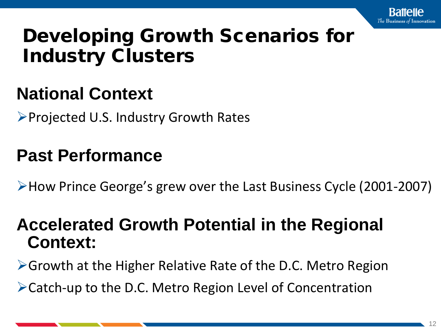

## Developing Growth Scenarios for Industry Clusters

#### **National Context**

 $\triangleright$  Projected U.S. Industry Growth Rates

#### **Past Performance**

How Prince George's grew over the Last Business Cycle (2001-2007)

#### **Accelerated Growth Potential in the Regional Context:**

Growth at the Higher Relative Rate of the D.C. Metro Region

Catch-up to the D.C. Metro Region Level of Concentration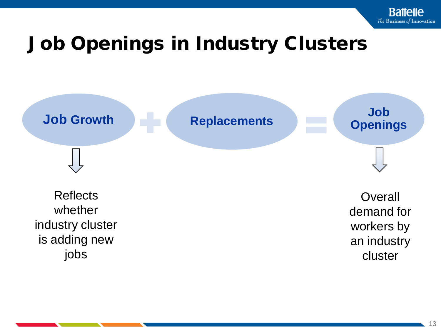# Job Openings in Industry Clusters



 $\overline{\phantom{B}}$  13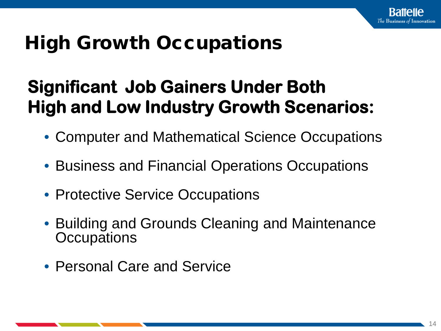# High Growth Occupations

## **Significant Job Gainers Under Both High and Low Industry Growth Scenarios:**

- Computer and Mathematical Science Occupations
- Business and Financial Operations Occupations
- Protective Service Occupations
- Building and Grounds Cleaning and Maintenance **Occupations**
- Personal Care and Service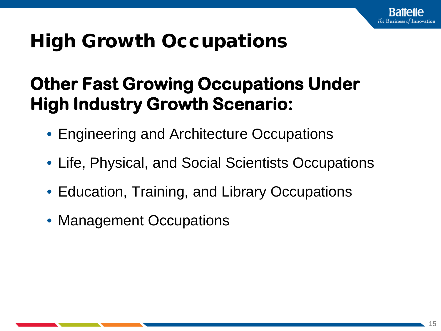# High Growth Occupations

## **Other Fast Growing Occupations Under High Industry Growth Scenario:**

- Engineering and Architecture Occupations
- Life, Physical, and Social Scientists Occupations
- Education, Training, and Library Occupations
- Management Occupations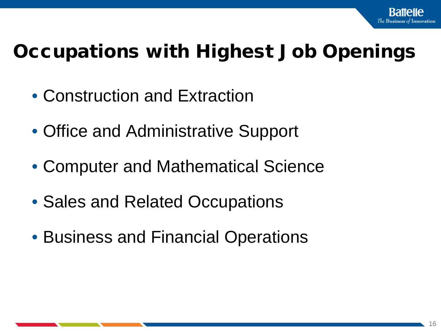# Occupations with Highest Job Openings

- Construction and Extraction
- Office and Administrative Support
- Computer and Mathematical Science
- Sales and Related Occupations
- Business and Financial Operations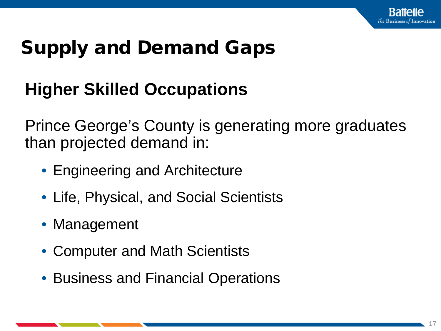# Supply and Demand Gaps

## **Higher Skilled Occupations**

Prince George's County is generating more graduates than projected demand in:

- Engineering and Architecture
- Life, Physical, and Social Scientists
- Management
- Computer and Math Scientists
- Business and Financial Operations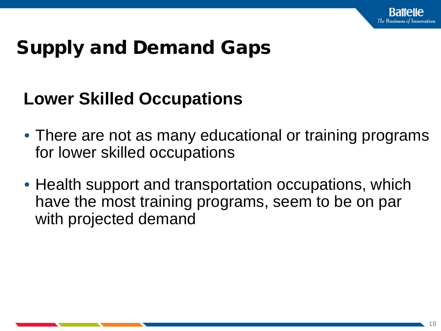# Supply and Demand Gaps

#### **Lower Skilled Occupations**

- There are not as many educational or training programs for lower skilled occupations
- Health support and transportation occupations, which have the most training programs, seem to be on par with projected demand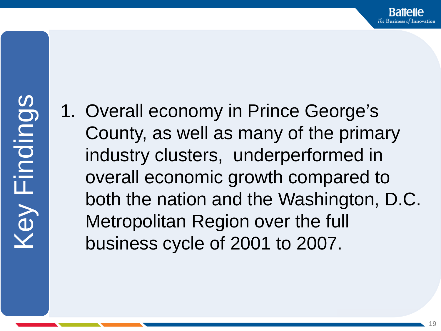1. Overall economy in Prince George's County, as well as many of the primary industry clusters, underperformed in overall economic growth compared to both the nation and the Washington, D.C. Metropolitan Region over the full business cycle of 2001 to 2007.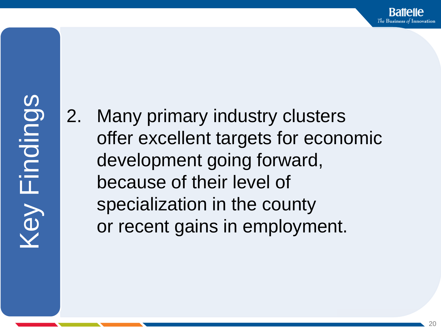2. Many primary industry clusters offer excellent targets for economic development going forward, because of their level of specialization in the county or recent gains in employment.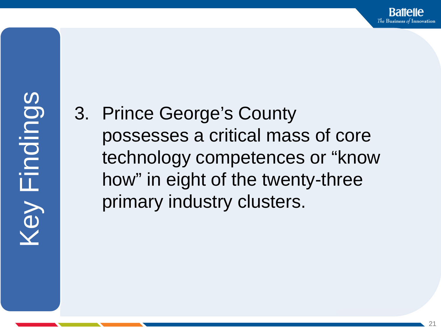3. Prince George's County possesses a critical mass of core technology competences or "know how" in eight of the twenty-three primary industry clusters.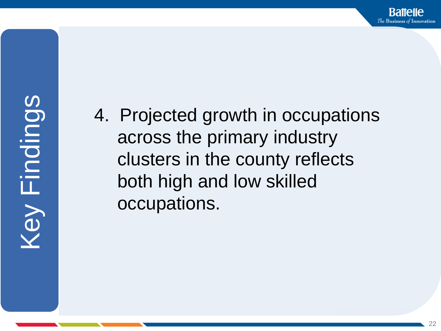4. Projected growth in occupations across the primary industry clusters in the county reflects both high and low skilled occupations.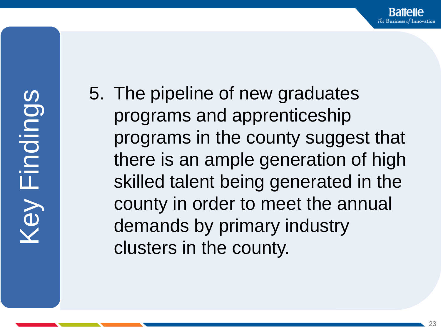5. The pipeline of new graduates programs and apprenticeship programs in the county suggest that there is an ample generation of high skilled talent being generated in the county in order to meet the annual demands by primary industry clusters in the county.

The Business of Innovation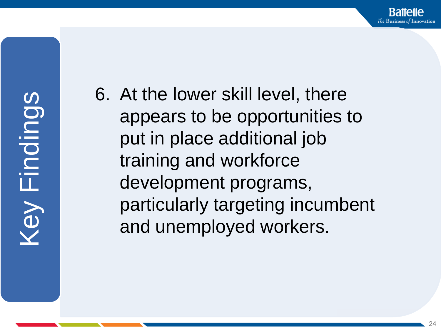6. At the lower skill level, there appears to be opportunities to put in place additional job training and workforce development programs, particularly targeting incumbent and unemployed workers.

Raffelle The Business of Innovation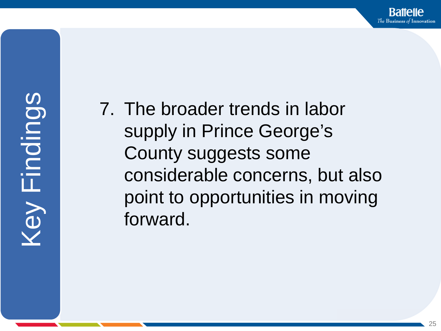7. The broader trends in labor supply in Prince George's County suggests some considerable concerns, but also point to opportunities in moving forward.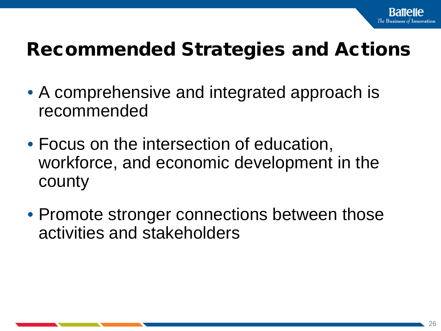# Recommended Strategies and Actions

- A comprehensive and integrated approach is recommended
- Focus on the intersection of education, workforce, and economic development in the county
- Promote stronger connections between those activities and stakeholders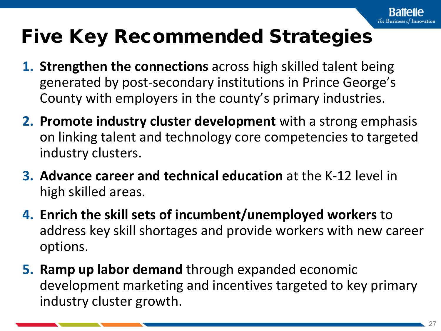# Five Key Recommended Strategies

- **1. Strengthen the connections** across high skilled talent being generated by post-secondary institutions in Prince George's County with employers in the county's primary industries.
- **2. Promote industry cluster development** with a strong emphasis on linking talent and technology core competencies to targeted industry clusters.
- **3. Advance career and technical education** at the K-12 level in high skilled areas.
- **4. Enrich the skill sets of incumbent/unemployed workers** to address key skill shortages and provide workers with new career options.
- **5. Ramp up labor demand** through expanded economic development marketing and incentives targeted to key primary industry cluster growth.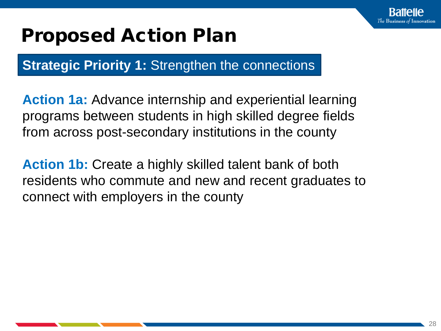

**Strategic Priority 1: Strengthen the connections** 

**Action 1a:** Advance internship and experiential learning programs between students in high skilled degree fields from across post-secondary institutions in the county

**Action 1b:** Create a highly skilled talent bank of both residents who commute and new and recent graduates to connect with employers in the county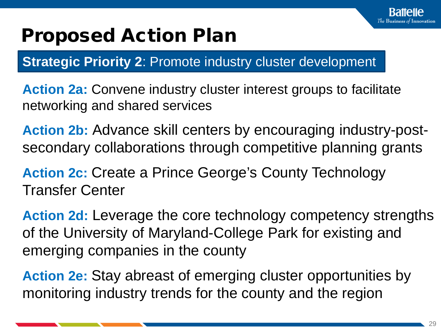**Strategic Priority 2: Promote industry cluster development** 

**Action 2a:** Convene industry cluster interest groups to facilitate networking and shared services

**Action 2b:** Advance skill centers by encouraging industry-postsecondary collaborations through competitive planning grants

Action 2c: Create a Prince George's County Technology Transfer Center

**Action 2d:** Leverage the core technology competency strengths of the University of Maryland-College Park for existing and emerging companies in the county

**Action 2e:** Stay abreast of emerging cluster opportunities by monitoring industry trends for the county and the region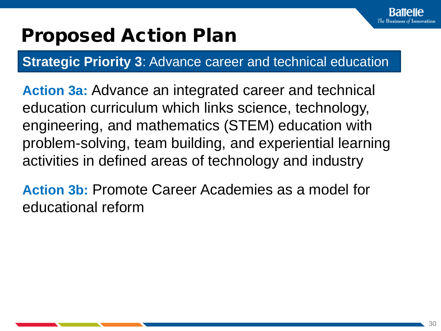

**Strategic Priority 3**: Advance career and technical education

**Action 3a:** Advance an integrated career and technical education curriculum which links science, technology, engineering, and mathematics (STEM) education with problem-solving, team building, and experiential learning activities in defined areas of technology and industry

**Action 3b:** Promote Career Academies as a model for educational reform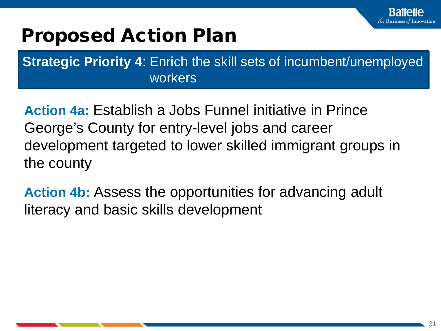**Strategic Priority 4**: Enrich the skill sets of incumbent/unemployed workers

**Action 4a:** Establish a Jobs Funnel initiative in Prince George's County for entry-level jobs and career development targeted to lower skilled immigrant groups in the county

**Action 4b:** Assess the opportunities for advancing adult literacy and basic skills development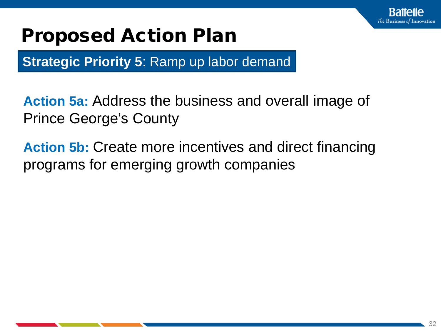

**Strategic Priority 5: Ramp up labor demand** 

**Action 5a:** Address the business and overall image of Prince George's County

**Action 5b:** Create more incentives and direct financing programs for emerging growth companies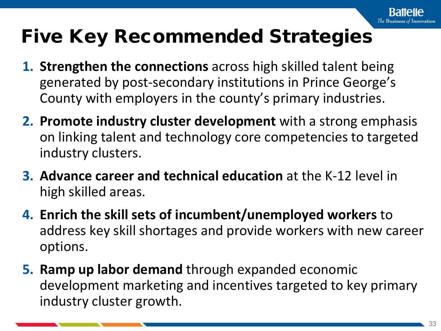# Five Key Recommended Strategies

- **1. Strengthen the connections** across high skilled talent being generated by post-secondary institutions in Prince George's County with employers in the county's primary industries.
- **2. Promote industry cluster development** with a strong emphasis on linking talent and technology core competencies to targeted industry clusters.
- **3. Advance career and technical education** at the K-12 level in high skilled areas.
- **4. Enrich the skill sets of incumbent/unemployed workers** to address key skill shortages and provide workers with new career options.
- **5. Ramp up labor demand** through expanded economic development marketing and incentives targeted to key primary industry cluster growth.